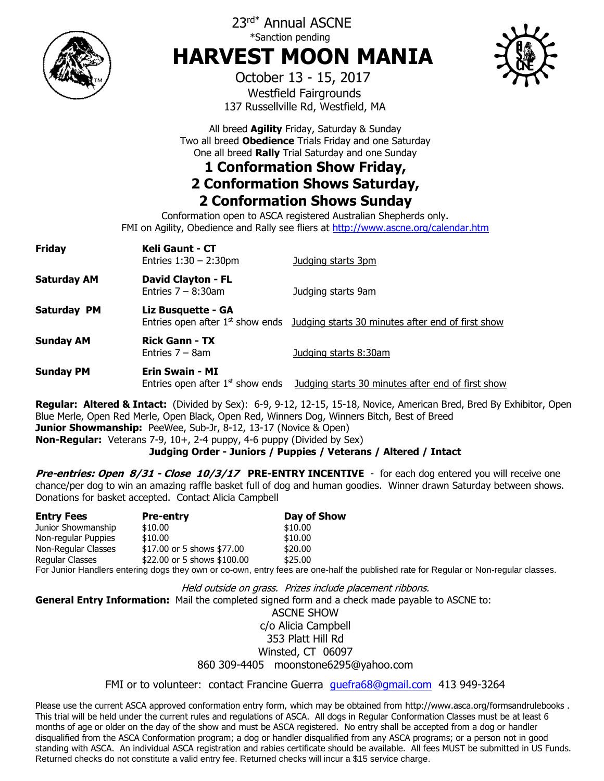

# 23rd\* Annual ASCNE \*Sanction pending **HARVEST MOON MANIA**



October 13 - 15, 2017 Westfield Fairgrounds 137 Russellville Rd, Westfield, MA

All breed **Agility** Friday, Saturday & Sunday Two all breed **Obedience** Trials Friday and one Saturday One all breed **Rally** Trial Saturday and one Sunday

## **1 Conformation Show Friday, 2 Conformation Shows Saturday, 2 Conformation Shows Sunday**

Conformation open to ASCA registered Australian Shepherds only. FMI on Agility, Obedience and Rally see fliers at <http://www.ascne.org/calendar.htm>

| <b>Friday</b>      | <b>Keli Gaunt - CT</b><br>Entries $1:30 - 2:30$ pm           | Judging starts 3pm                                                                             |
|--------------------|--------------------------------------------------------------|------------------------------------------------------------------------------------------------|
| <b>Saturday AM</b> | <b>David Clayton - FL</b><br>Entries $7 - 8:30$ am           | Judging starts 9am                                                                             |
| Saturday PM        | Liz Busquette - GA                                           | Entries open after 1 <sup>st</sup> show ends Judging starts 30 minutes after end of first show |
| <b>Sunday AM</b>   | <b>Rick Gann - TX</b><br>Entries $7 - 8$ am                  | Judging starts 8:30am                                                                          |
| <b>Sunday PM</b>   | <b>Erin Swain - MI</b><br>Entries open after $1st$ show ends | Judging starts 30 minutes after end of first show                                              |

**Regular: Altered & Intact:** (Divided by Sex): 6-9, 9-12, 12-15, 15-18, Novice, American Bred, Bred By Exhibitor, Open Blue Merle, Open Red Merle, Open Black, Open Red, Winners Dog, Winners Bitch, Best of Breed **Junior Showmanship:** PeeWee, Sub-Jr, 8-12, 13-17 (Novice & Open) **Non-Regular:** Veterans 7-9, 10+, 2-4 puppy, 4-6 puppy (Divided by Sex)

**Judging Order - Juniors / Puppies / Veterans / Altered / Intact**

**Pre-entries: Open 8/31 - Close 10/3/17 PRE-ENTRY INCENTIVE** - for each dog entered you will receive one chance/per dog to win an amazing raffle basket full of dog and human goodies. Winner drawn Saturday between shows. Donations for basket accepted. Contact Alicia Campbell

| <b>Entry Fees</b>   | <b>Pre-entry</b>                                                                 | Day of Show |
|---------------------|----------------------------------------------------------------------------------|-------------|
| Junior Showmanship  | \$10.00                                                                          | \$10.00     |
| Non-regular Puppies | \$10.00                                                                          | \$10.00     |
| Non-Regular Classes | \$17.00 or 5 shows \$77.00                                                       | \$20.00     |
| Regular Classes     | \$22.00 or 5 shows \$100.00                                                      | \$25.00     |
|                     | For lunior Handlers entering dogs they own or co-own entry fees are one-half the |             |

dlers entering dogs they own or co-own, entry fees are one-half the published rate for Regular or Non-regular classes.

Held outside on grass. Prizes include placement ribbons. **General Entry Information:** Mail the completed signed form and a check made payable to ASCNE to: ASCNE SHOW c/o Alicia Campbell 353 Platt Hill Rd Winsted, CT 06097 860 309-4405 moonstone6295@yahoo.com

FMI or to volunteer: contact Francine Guerra [guefra68@gmail.com](mailto:guefra68@gmail.com) 413 949-3264

Please use the current ASCA approved conformation entry form, which may be obtained from http://www.asca.org/formsandrulebooks . This trial will be held under the current rules and regulations of ASCA. All dogs in Regular Conformation Classes must be at least 6 months of age or older on the day of the show and must be ASCA registered. No entry shall be accepted from a dog or handler disqualified from the ASCA Conformation program; a dog or handler disqualified from any ASCA programs; or a person not in good standing with ASCA. An individual ASCA registration and rabies certificate should be available. All fees MUST be submitted in US Funds. Returned checks do not constitute a valid entry fee. Returned checks will incur a \$15 service charge.